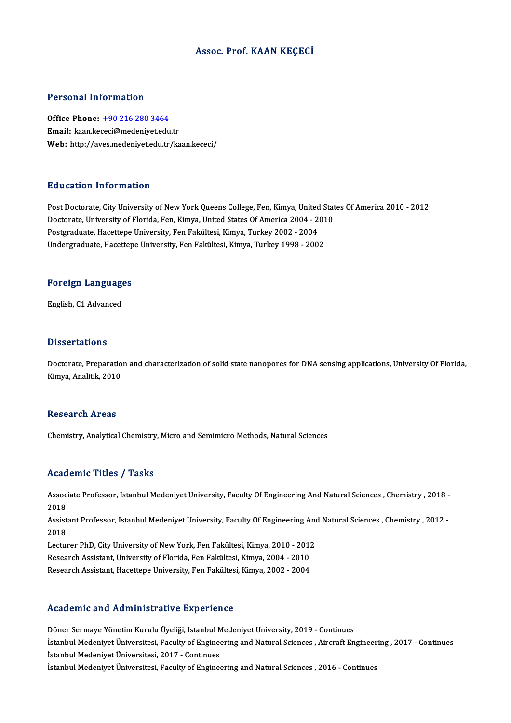## Assoc. Prof. KAAN KEÇECİ

### Personal Information

Office Phone: +90 216 280 3464 Email: kaan.ke[ceci@medeniyet.edu](tel:+90 216 280 3464).tr Web: http://aves.medeniyet.edu.tr/kaan.kececi/

#### Education Information

Post Doctorate, City University of New York Queens College, Fen, Kimya, United States Of America 2010 - 2012 Du d'euteren Innes mueren<br>Post Doctorate, City University of New York Queens College, Fen, Kimya, United Stat<br>Doctorate, University of Florida, Fen, Kimya, United States Of America 2004 - 2010<br>Postanaduate, Hasettone Unive Post Doctorate, City University of New York Queens College, Fen, Kimya, United<br>Doctorate, University of Florida, Fen, Kimya, United States Of America 2004 - 2<br>Postgraduate, Hacettepe University, Fen Fakültesi, Kimya, Turke Doctorate, University of Florida, Fen, Kimya, United States Of America 2004 - 201<br>Postgraduate, Hacettepe University, Fen Fakültesi, Kimya, Turkey 2002 - 2004<br>Undergraduate, Hacettepe University, Fen Fakültesi, Kimya, Turk

# <sub>ondergraduate, nacettep</sub><br>Foreign Languages F<mark>oreign Languag</mark>e<br>English, C1 Advanced

English, C1 Advanced<br>Dissertations

Doctorate, Preparation and characterization of solid state nanopores for DNA sensing applications, University Of Florida, Kimya, Analitik, 2010

#### **Research Areas**

Chemistry, Analytical Chemistry, Micro and Semimicro Methods, Natural Sciences

#### Academic Titles / Tasks

Academic Titles / Tasks<br>Associate Professor, Istanbul Medeniyet University, Faculty Of Engineering And Natural Sciences , Chemistry , 2018 -<br>2018 Assoc<br>Assoc<br>2018 Associate Professor, Istanbul Medeniyet University, Faculty Of Engineering And Natural Sciences , Chemistry , 2018 -<br>2018<br>Assistant Professor, Istanbul Medeniyet University, Faculty Of Engineering And Natural Sciences , Ch

2018<br>Assist<br>2018<br>Lectur Assistant Professor, Istanbul Medeniyet University, Faculty Of Engineering And<br>2018<br>Lecturer PhD, City University of New York, Fen Fakültesi, Kimya, 2010 - 2012<br>Besearsh Assistant University of Flarida, Fen Fakültesi, Kimy 2018<br>Lecturer PhD, City University of New York, Fen Fakültesi, Kimya, 2010 - 201:<br>Research Assistant, University of Florida, Fen Fakültesi, Kimya, 2004 - 2010<br>Besearch Assistant, Hassitane University, Fen Fakültesi, Kimya,

Lecturer PhD, City University of New York, Fen Fakültesi, Kimya, 2010 - 2012<br>Research Assistant, University of Florida, Fen Fakültesi, Kimya, 2004 - 2010<br>Research Assistant, Hacettepe University, Fen Fakültesi, Kimya, 2002

Research Assistant, Hacettepe University, Fen Fakültesi, Kimya, 2002 - 2004<br>Academic and Administrative Experience

Döner Sermaye Yönetim Kurulu Üyeliği, Istanbul Medeniyet University, 2019 - Continues Istanbul Medeniyet Istanbulden verseen in Denisites<br>Döner Sermaye Yönetim Kurulu Üyeliği, Istanbul Medeniyet University, 2019 - Continues<br>İstanbul Medeniyet Üniversitesi, Faculty of Engineering and Natural Sciences , Aircr Döner Sermaye Yönetim Kurulu Üyeliği, Istanbul M<br>İstanbul Medeniyet Üniversitesi, Faculty of Engine<br>İstanbul Medeniyet Üniversitesi, 2017 - Continues İstanbul Medeniyet Üniversitesi, Faculty of Engineering and Natural Sciences , Aircraft Engineer<br>İstanbul Medeniyet Üniversitesi, 2017 - Continues<br>İstanbul Medeniyet Üniversitesi, Faculty of Engineering and Natural Science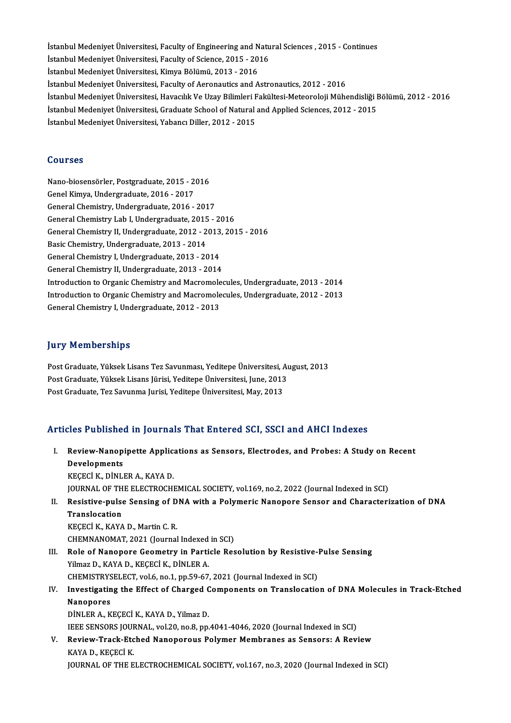İstanbul Medeniyet Üniversitesi, Faculty of Engineering and Natural Sciences , 2015 - Continues<br>İstanbul Medeniyet Üniversitesi, Faculty of Science, 2015 , 2016 İstanbul Medeniyet Üniversitesi, Faculty of Engineering and Natu<br>İstanbul Medeniyet Üniversitesi, Faculty of Science, 2015 - 2016<br>İstanbul Medeniyet Üniversitesi, Kimya Bölümü, 2012, 2016 İstanbul Medeniyet Üniversitesi, Faculty of Engineering and N<br>İstanbul Medeniyet Üniversitesi, Faculty of Science, 2015 - 20<br>İstanbul Medeniyet Üniversitesi, Kimya Bölümü, 2013 - 2016<br>İstanbul Medeniyet Üniversitesi, Facul İstanbul Medeniyet Üniversitesi, Faculty of Science, 2015 - 2016<br>İstanbul Medeniyet Üniversitesi, Kimya Bölümü, 2013 - 2016<br>İstanbul Medeniyet Üniversitesi, Faculty of Aeronautics and Astronautics, 2012 - 2016 İstanbul Medeniyet Üniversitesi, Kimya Bölümü, 2013 - 2016<br>İstanbul Medeniyet Üniversitesi, Faculty of Aeronautics and Astronautics, 2012 - 2016<br>İstanbul Medeniyet Üniversitesi, Havacılık Ve Uzay Bilimleri Fakültesi-Meteor İstanbul Medeniyet Üniversitesi, Faculty of Aeronautics and Astronautics, 2012 - 2016<br>İstanbul Medeniyet Üniversitesi, Havacılık Ve Uzay Bilimleri Fakültesi-Meteoroloji Mühendisliği I<br>İstanbul Medeniyet Üniversitesi, Gradu İstanbul Medeniyet Üniversitesi, Havacılık Ve Uzay Bilimleri F<br>İstanbul Medeniyet Üniversitesi, Graduate School of Natural<br>İstanbul Medeniyet Üniversitesi, Yabancı Diller, 2012 - 2015 İstanbul Medeniyet Üniversitesi, Yabancı Diller, 2012 - 2015<br>Courses

Courses<br>Nano-biosensörler, Postgraduate, 2015 - 2016<br>Conel Vimue, Undergraduate, 2016 - 2017 Sourbos<br>Nano-biosensörler, Postgraduate, 2015 - 2<br>Genel Kimya, Undergraduate, 2016 - 2017<br>Ceneral Chemistry, Undergraduate, 2016 Nano-biosensörler, Postgraduate, 2015 - 2016<br>Genel Kimya, Undergraduate, 2016 - 2017<br>General Chemistry, Undergraduate, 2016 - 2017<br>Ceneral Chemistry Lab L Undergraduate, 2015 Genel Kimya, Undergraduate, 2016 - 2017<br>General Chemistry, Undergraduate, 2016 - 2017<br>General Chemistry Lab I, Undergraduate, 2015 - 2016<br>Ceneral Chemistry, U. Undergraduate, 2012 - 2012 - 201 General Chemistry, Undergraduate, 2016 - 2017<br>General Chemistry Lab I, Undergraduate, 2015 - 2016<br>General Chemistry II, Undergraduate, 2012 - 2013, 2015 - 2016<br>Basic Chemistry, Undergraduate, 2013 - 2014 General Chemistry Lab I, Undergraduate, 2015<br>General Chemistry II, Undergraduate, 2012 - 2<br>Basic Chemistry, Undergraduate, 2013 - 2014<br>Ceneral Chemistry I, Undergraduate, 2013 - 20 General Chemistry II, Undergraduate, 2012 - 2013<br>Basic Chemistry, Undergraduate, 2013 - 2014<br>General Chemistry I, Undergraduate, 2013 - 2014<br>Ceneral Chemistry II, Undergraduate, 2013 - 2014 Basic Chemistry, Undergraduate, 2013 - 2014<br>General Chemistry I, Undergraduate, 2013 - 2014<br>General Chemistry II, Undergraduate, 2013 - 2014<br>Introduction to Organis Chemistry and Magnomales General Chemistry II, Undergraduate, 2013 - 2014<br>Introduction to Organic Chemistry and Macromolecules, Undergraduate, 2013 - 2014 General Chemistry II, Undergraduate, 2013 - 2014<br>Introduction to Organic Chemistry and Macromolecules, Undergraduate, 2013 - 2014<br>Introduction to Organic Chemistry and Macromolecules, Undergraduate, 2012 - 2013<br>Coneral Che Introduction to Organic Chemistry and Macromole<br>Introduction to Organic Chemistry and Macromole<br>General Chemistry I, Undergraduate, 2012 - 2013 General Chemistry I, Undergraduate, 2012 - 2013<br>Jury Memberships

**Jury Memberships<br>Post Graduate, Yüksek Lisans Tez Savunması, Yeditepe Üniversitesi, August, 2013<br>Post Craduate, Yüksek Lisans Fürisi, Yeditene Üniversitesi, Lune, 2012** yary Trommorumpu<br>Post Graduate, Yüksek Lisans Tez Savunması, Yeditepe Üniversitesi, Aı<br>Post Graduate, Yüksek Lisans Jürisi, Yeditepe Üniversitesi, June, 2013<br>Post Graduate, Ter Savunma Jurisi, Veditepe Üniversitesi, June, Post Graduate, Yüksek Lisans Jürisi, Yeditepe Üniversitesi, June, 2013<br>Post Graduate, Tez Savunma Jurisi, Yeditepe Üniversitesi, May, 2013

## Articles Published in Journals That Entered SCI, SSCI and AHCI Indexes

- rticles Published in Journals That Entered SCI, SSCI and AHCI Indexes<br>I. Review-Nanopipette Applications as Sensors, Electrodes, and Probes: A Study on Recent<br>Pevelepments Developments<br>KECECİ K., DİNLER A., KAYA D. Review-Nanopipette Applic:<br>Developments<br>KEÇECİ K., DİNLER A., KAYA D.<br>JOUPMAL OF THE FLECTPOCH! JOURNAL OF THE ELECTROCHEMICAL SOCIETY, vol.169, no.2, 2022 (Journal Indexed in SCI) KEÇECİ K., DİNLER A., KAYA D.<br>JOURNAL OF THE ELECTROCHEMICAL SOCIETY, vol.169, no.2, 2022 (Journal Indexed in SCI)<br>II. Resistive-pulse Sensing of DNA with a Polymeric Nanopore Sensor and Characterization of DNA<br>Transla
- JOURNAL OF TH<br>Resistive-pulse<br>Translocation<br>PECECLE FAVA Resistive-pulse Sensing of D<br>Translocation<br>KEÇECİ K., KAYA D., Martin C. R.<br>CHEMNANOMAT 2021 (Journal Translocation<br>KEÇECİ K., KAYA D., Martin C. R.<br>CHEMNANOMAT, 2021 (Journal Indexed in SCI)<br>Pole of Nanonore Coometry in Perticle Pee
- KEÇECİ K., KAYA D., Martin C. R.<br>CHEMNANOMAT, 2021 (Journal Indexed in SCI)<br>III. Role of Nanopore Geometry in Particle Resolution by Resistive-Pulse Sensing<br>Yilmaz D., KAYA D., KECECİ K., DİNLER A. CHEMNANOMAT, 2021 (Journal Indexed<br>Role of Nanopore Geometry in Parti<br>Yilmaz D., KAYA D., KEÇECİ K., DİNLER A.<br>CHEMISTRYSELECT vel 6 no.1 np 50.67 Role of Nanopore Geometry in Particle Resolution by Resistive-<br>Yilmaz D., KAYA D., KEÇECİ K., DİNLER A.<br>CHEMISTRYSELECT, vol.6, no.1, pp.59-67, 2021 (Journal Indexed in SCI)<br>Investigating the Effect of Charged Components o
- IV. Investigating the Effect of Charged Components on Translocation of DNAMolecules in Track-Etched CHEMISTRYS<br>Investigatin<br>Nanopores<br>Di<sup>nu ED A - K</sup> DİNLERA.,KEÇECİK.,KAYAD.,YilmazD. Nanopores<br>DİNLER A., KEÇECİ K., KAYA D., Yilmaz D.<br>IEEE SENSORS JOURNAL, vol.20, no.8, pp.4041-4046, 2020 (Journal Indexed in SCI)<br>Boview Trask Etched Nanoporeya Bolymar Mambranes as Sansarsı A Bovi

DINLER A., KEÇECI K., KAYA D., Yilmaz D.<br>IEEE SENSORS JOURNAL, vol.20, no.8, pp.4041-4046, 2020 (Journal Indexed in SCI)<br>V. Review-Track-Etched Nanoporous Polymer Membranes as Sensors: A Review<br>KAYA D. KECECI K. **IEEE SENSORS JOUF<br>Review-Track-Etc<br>KAYA D., KEÇECİ K.<br>JOUPNAL OF THE E** Review-Track-Etched Nanoporous Polymer Membranes as Sensors: A Review<br>KAYA D., KEÇECİ K.<br>JOURNAL OF THE ELECTROCHEMICAL SOCIETY, vol.167, no.3, 2020 (Journal Indexed in SCI)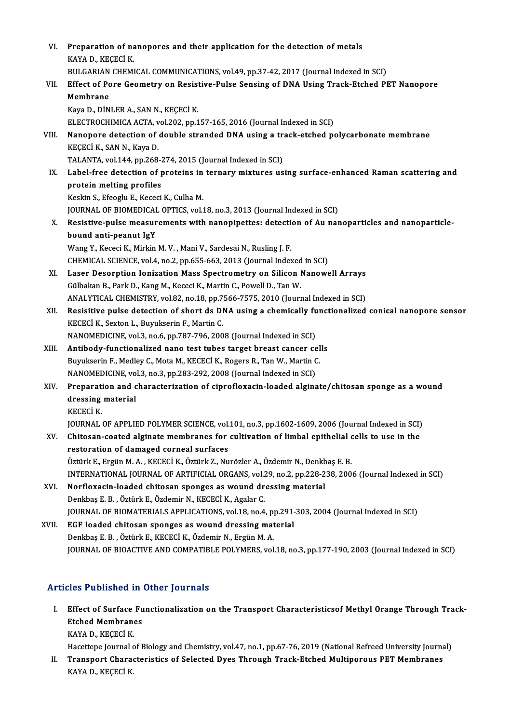| VI.   | Preparation of nanopores and their application for the detection of metals                            |
|-------|-------------------------------------------------------------------------------------------------------|
|       | KAYA D, KEÇECİ K                                                                                      |
|       | BULGARIAN CHEMICAL COMMUNICATIONS, vol.49, pp.37-42, 2017 (Journal Indexed in SCI)                    |
| VII.  | Effect of Pore Geometry on Resistive-Pulse Sensing of DNA Using Track-Etched PET Nanopore             |
|       | Membrane                                                                                              |
|       | Kaya D., DİNLER A., SAN N., KEÇECİ K.                                                                 |
|       | ELECTROCHIMICA ACTA, vol.202, pp.157-165, 2016 (Journal Indexed in SCI)                               |
| VIII. | Nanopore detection of double stranded DNA using a track-etched polycarbonate membrane                 |
|       | KEÇECİ K, SAN N, Kaya D.                                                                              |
|       | TALANTA, vol.144, pp.268-274, 2015 (Journal Indexed in SCI)                                           |
| IX.   | Label-free detection of proteins in ternary mixtures using surface-enhanced Raman scattering and      |
|       | protein melting profiles                                                                              |
|       | Keskin S., Efeoglu E., Kececi K., Culha M.                                                            |
|       | JOURNAL OF BIOMEDICAL OPTICS, vol.18, no.3, 2013 (Journal Indexed in SCI)                             |
| Х.    | Resistive-pulse measurements with nanopipettes: detection of Au nanoparticles and nanoparticle-       |
|       | bound anti-peanut IgY                                                                                 |
|       | Wang Y., Kececi K., Mirkin M.V., Mani V., Sardesai N., Rusling J.F.                                   |
|       | CHEMICAL SCIENCE, vol.4, no.2, pp.655-663, 2013 (Journal Indexed in SCI)                              |
| XI.   | Laser Desorption Ionization Mass Spectrometry on Silicon Nanowell Arrays                              |
|       | Gülbakan B., Park D., Kang M., Kececi K., Martin C., Powell D., Tan W.                                |
|       | ANALYTICAL CHEMISTRY, vol.82, no.18, pp.7566-7575, 2010 (Journal Indexed in SCI)                      |
| XII.  | Resisitive pulse detection of short ds DNA using a chemically functionalized conical nanopore sensor  |
|       | KECECİ K., Sexton L., Buyukserin F., Martin C.                                                        |
|       | NANOMEDICINE, vol.3, no.6, pp.787-796, 2008 (Journal Indexed in SCI)                                  |
| XIII. | Antibody-functionalized nano test tubes target breast cancer cells                                    |
|       | Buyukserin F., Medley C., Mota M., KECECİ K., Rogers R., Tan W., Martin C.                            |
|       | NANOMEDICINE, vol.3, no.3, pp.283-292, 2008 (Journal Indexed in SCI)                                  |
| XIV.  | Preparation and characterization of ciprofloxacin-loaded alginate/chitosan sponge as a wound          |
|       | dressing material                                                                                     |
|       | KECECI K.                                                                                             |
|       | JOURNAL OF APPLIED POLYMER SCIENCE, vol.101, no.3, pp.1602-1609, 2006 (Journal Indexed in SCI)        |
| XV.   | Chitosan-coated alginate membranes for cultivation of limbal epithelial cells to use in the           |
|       | restoration of damaged corneal surfaces                                                               |
|       | Öztürk E., Ergün M. A., KECECİ K., Öztürk Z., Nurözler A., Özdemir N., Denkbaş E. B.                  |
|       | INTERNATIONAL JOURNAL OF ARTIFICIAL ORGANS, vol.29, no.2, pp.228-238, 2006 (Journal Indexed in SCI)   |
| XVI.  | Norfloxacin-loaded chitosan sponges as wound dressing material                                        |
|       | Denkbaş E. B., Öztürk E., Özdemir N., KECECİ K., Agalar C.                                            |
|       | JOURNAL OF BIOMATERIALS APPLICATIONS, vol.18, no.4, pp.291-303, 2004 (Journal Indexed in SCI)         |
| XVII. | EGF loaded chitosan sponges as wound dressing material                                                |
|       | Denkbaş E. B., Öztürk E., KECECİ K., Özdemir N., Ergün M. A.                                          |
|       | JOURNAL OF BIOACTIVE AND COMPATIBLE POLYMERS, vol.18, no.3, pp.177-190, 2003 (Journal Indexed in SCI) |

## Articles Published in Other Journals

rticles Published in Other Journals<br>I. Effect of Surface Functionalization on the Transport Characteristicsof Methyl Orange Through Track-Effect of Surface Fu<br>Effect of Surface Fu<br>Etched Membranes Effect of Surface<br>Etched Membran<br>KAYA D., KEÇECİ K.<br>Hasattana Jaumal a Etched Membranes<br>KAYA D., KEÇECİ K.<br>Hacettepe Journal of Biology and Chemistry, vol.47, no.1, pp.67-76, 2019 (National Refreed University Journal)<br>Transport Characteristics of Salasted Dues Through Track Etched Multiperous

KAYA D., KEÇECİ K.<br>Hacettepe Journal of Biology and Chemistry, vol.47, no.1, pp.67-76, 2019 (National Refreed University Journa<br>II. Transport Characteristics of Selected Dyes Through Track-Etched Multiporous PET Membra Hacettepe Journal d<br><mark>Transport Chara</mark><br>KAYA D., KEÇECİ K.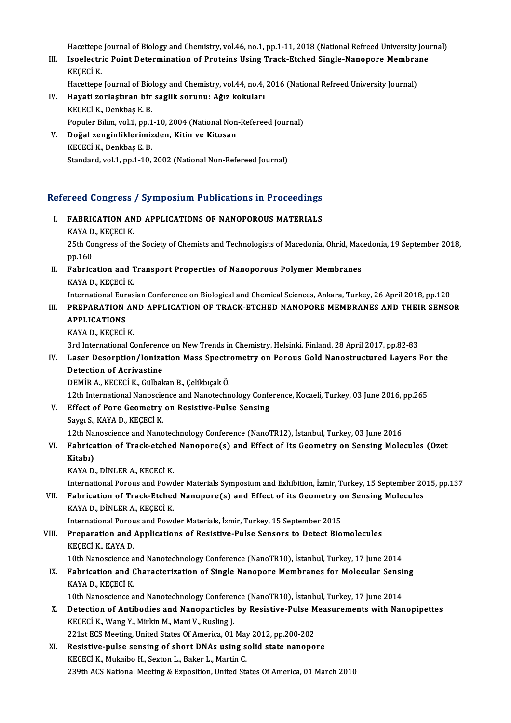Hacettepe Journal of Biology and Chemistry, vol.46, no.1, pp.1-11, 2018 (National Refreed University Journal)<br>Jeoclastria Boint Determination of Broteins Heing Track Etched Single Nanonege Membrane

Hacettepe Journal of Biology and Chemistry, vol.46, no.1, pp.1-11, 2018 (National Refreed University Jou:<br>III. Isoelectric Point Determination of Proteins Using Track-Etched Single-Nanopore Membrane<br>KECECLY Hacettepe<br>Isoelectri<br>KEÇECİ K.<br>Hasettana Isoelectric Point Determination of Proteins Using Track-Etched Single-Nanopore Membra<br>KEÇECİ K.<br>Hacettepe Journal of Biology and Chemistry, vol.44, no.4, 2016 (National Refreed University Journal)<br>Haveti gerlestinen bir se

Hacettepe Journal of Biology and Chemistry, vol.44, no.4, 2016 (National Refreed University Journal)

- KEÇECİ K.<br>Hacettepe Journal of Biology and Chemistry, vol.44, no.4,<br>IV. Hayati zorlaştıran bir saglik sorunu: Ağız kokuları<br>KECECİ K., Denkbaş E. B. Hayati zorlaştıran bir saglik sorunu: Ağız kokuları<br>KECECİ K., Denkbaş E. B.<br>Popüler Bilim, vol.1, pp.1-10, 2004 (National Non-Refereed Journal)<br>Doğal genginliklerimizden, Kitin ve Kitosan
- V. Doğal zenginliklerimizden, Kitin ve Kitosan Popüler Bilim, vol.1, pp.1<br>Doğal zenginliklerimiz<br>KECECİ K., Denkbaş E. B.<br>Standard vol.1 nn 1.10 Standard, vol.1, pp.1-10, 2002 (National Non-Refereed Journal)

# standard, vol.1, pp.1-10, 2002 (National Non-Refereed Journal)<br>Refereed Congress / Symposium Publications in Proceedings efereed Congress / Symposium Publications in Proceedings<br>I. FABRICATION AND APPLICATIONS OF NANOPOROUS MATERIALS

I. FABRICATION AND APPLICATIONS OF NANOPOROUS MATERIALS<br>KAYA D., KEÇECİ K. FABRICATION AND APPLICATIONS OF NANOPOROUS MATERIALS<br>KAYA D., KEÇECİ K.<br>25th Congress of the Society of Chemists and Technologists of Macedonia, Ohrid, Macedonia, 19 September 2018,<br>nn 160 KAYA D<br>25th Co<br>pp.160<br>Eshries 25th Congress of the Society of Chemists and Technologists of Macedonia, Ohrid, Mac<br>pp.160<br>II. Fabrication and Transport Properties of Nanoporous Polymer Membranes<br> $V_{A}N_{A}$  D. VECECI V. pp.160<br>II. Fabrication and Transport Properties of Nanoporous Polymer Membranes<br>KAYA D., KEÇECİ K. International Eurasian Conference on Biological and Chemical Sciences, Ankara, Turkey, 26 April 2018, pp.120 KAYA D., KEÇECİ K.<br>International Eurasian Conference on Biological and Chemical Sciences, Ankara, Turkey, 26 April 2018, pp.120<br>III. PREPARATION AND APPLICATION OF TRACK-ETCHED NANOPORE MEMBRANES AND THEIR SENSOR<br>APPLI International Eur<br>PREPARATION<br>APPLICATIONS<br>KAVA D. KECECI **PREPARATION AN<br>APPLICATIONS<br>KAYA D., KEÇECİ K.**<br>2rd International G 4PPLICATIONS<br>3rd International Conference on New Trends in Chemistry, Helsinki, Finland, 28 April 2017, pp.82-83<br>3rd International Conference on New Trends in Chemistry, Helsinki, Finland, 28 April 2017, pp.82-83 KAYA D., KEÇECİ K.<br>3rd International Conference on New Trends in Chemistry, Helsinki, Finland, 28 April 2017, pp.82-83<br>IV. Laser Desorption/Ionization Mass Spectrometry on Porous Gold Nanostructured Layers For the<br>Dete 3rd International Conference<br>Laser Desorption/Ioniza<br>Detection of Acrivastine<br>DEMIP A. KECECLK. Gülbal Laser Desorption/Ionization Mass Spectr<br>Detection of Acrivastine<br>DEMİR A., KECECİ K., Gülbakan B., Çelikbıçak Ö.<br>12th International Nanossiance and Nanotechn 12th International Acrivastine<br>12th International Nanoscience and Nanotechnology Conference, Kocaeli, Turkey, 03 June 2016, pp.265<br>12th International Nanoscience and Nanotechnology Conference, Kocaeli, Turkey, 03 June 2016 DEMIR A., KECECI K., Gülbakan B., Çelikbıçak Ö.<br>12th International Nanoscience and Nanotechnology Confe<br>V. Effect of Pore Geometry on Resistive-Pulse Sensing<br>Seven S. KAVA D. KECECI K. 12th International Nanoscie<br>Effect of Pore Geometry<br>Saygı S., KAYA D., KEÇECİ K.<br>12th Nanosciones and Nano Saygı S., KAYA D., KEÇECİ K.<br>12th Nanoscience and Nanotechnology Conference (NanoTR12), İstanbul, Turkey, 03 June 2016 Saygı S., KAYA D., KEÇECİ K.<br>12th Nanoscience and Nanotechnology Conference (NanoTR12), İstanbul, Turkey, 03 June 2016<br>VI. Fabrication of Track-etched Nanopore(s) and Effect of Its Geometry on Sensing Molecules (Özet<br>Ki 12th Nai<br><mark>Fabrica</mark><br>Kitabı)<br><sup>KAVA D</sup>

Fabrication of Track-etched<br>Kitabı)<br>KAYA D., DİNLER A., KECECİ K.<br>International Bereya and Beyg

Kitabı)<br>KAYA D., DİNLER A., KECECİ K.<br>International Porous and Powder Materials Symposium and Exhibition, İzmir, Turkey, 15 September 2015, pp.137<br>Fabrisation of Track Etched Nanonore(s) and Effect of its Coometry on Sonsi

KAYA D., DİNLER A., KECECİ K.<br>International Porous and Powder Materials Symposium and Exhibition, İzmir, Turkey, 15 September 20<br>VII. Fabrication of Track-Etched Nanopore(s) and Effect of its Geometry on Sensing Molecu International Porous and Powe<br>Fabrication of Track-Etchee<br>KAYA D., DİNLER A., KEÇECİ K.<br>International Borous and Bowe VII. Fabrication of Track-Etched Nanopore(s) and Effect of its Geometry on Sensing Molecules<br>KAYA D., DİNLER A., KEÇECİ K.<br>International Porous and Powder Materials, İzmir, Turkey, 15 September 2015

KAYA D., DINLER A., KEÇECI K.<br>International Porous and Powder Materials, İzmir, Turkey, 15 September 2015<br>VIII. Preparation and Applications of Resistive-Pulse Sensors to Detect Biomolecules<br>VECECI K. KAYA D. International Porou<br>Preparation and .<br>KEÇECİ K., KAYA D.<br>10th Nanossianse a Preparation and Applications of Resistive-Pulse Sensors to Detect Biomolecules<br>KEÇECİ K., KAYA D.<br>10th Nanoscience and Nanotechnology Conference (NanoTR10), İstanbul, Turkey, 17 June 2014<br>Febrisation and Characterization o

KEÇECİ K., KAYA D.<br>10th Nanoscience and Nanotechnology Conference (NanoTR10), İstanbul, Turkey, 17 June 2014<br>IX. Fabrication and Characterization of Single Nanopore Membranes for Molecular Sensing<br>KAVA D. KECECİ K. 10th Nanoscience a<br>Fabrication and C<br>KAYA D., KEÇECİ K.<br>10th Nanosciance a Fabrication and Characterization of Single Nanopore Membranes for Molecular Sensi<br>KAYA D., KEÇECİ K.<br>10th Nanoscience and Nanotechnology Conference (NanoTR10), İstanbul, Turkey, 17 June 2014<br>Detection of Antibodies and Nan

- KAYA D., KEÇECİ K.<br>10th Nanoscience and Nanotechnology Conference (NanoTR10), İstanbul, Turkey, 17 June 2014<br>X. Detection of Antibodies and Nanoparticles by Resistive-Pulse Measurements with Nanopipettes<br>KECECİ K. Wana V. 10th Nanoscience and Nanotechnology Conference (NanoTR10), İstanbul, Turkey, 17 June 2014<br>Detection of Antibodies and Nanoparticles by Resistive-Pulse Measurements with Nan<br>KECECİ K., Wang Y., Mirkin M., Mani V., Rusling J Detection of Antibodies and Nanoparticles by Resistive-Pulse M<br>KECECI K., Wang Y., Mirkin M., Mani V., Rusling J.<br>221st ECS Meeting, United States Of America, 01 May 2012, pp.200-202<br>Besistive pulse sensing of short DNAs u
- XI. Resistive-pulse sensing of short DNAs using solid state nanopore KECECİ K., Mukaibo H., Sexton L., Baker L., Martin C. 239th ACS National Meeting & Exposition, United States Of America, 01 March 2010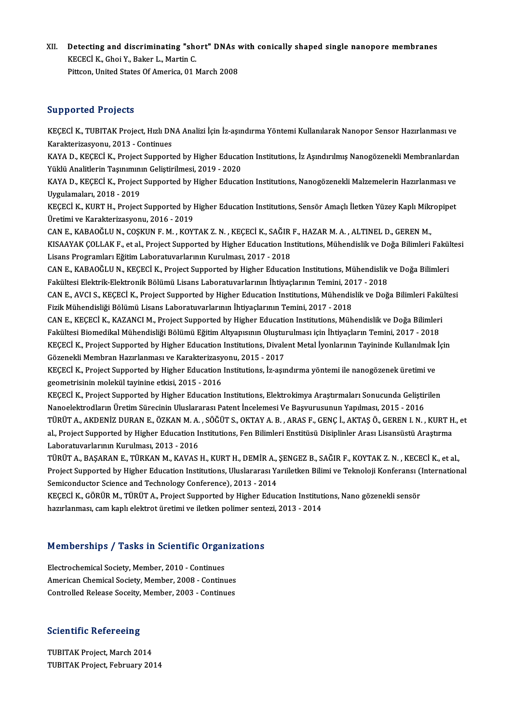XII. Detecting and discriminating "short" DNAs with conically shaped single nanopore membranes<br>KECECLY, Chai Y, Pakan L, Martin C **Detecting and discriminating "show"**<br>KECECİ K., Ghoi Y., Baker L., Martin C.<br>Pitteen United States Of Americe 01 I Detecting and discriminating "short" DNAs v<br>KECECİ K., Ghoi Y., Baker L., Martin C.<br>Pittcon, United States Of America, 01 March 2008 Pittcon, United States Of America, 01 March 2008<br>Supported Projects

Supported Projects<br>KEÇECİ K., TUBITAK Project, Hızlı DNA Analizi İçin İz-aşındırma Yöntemi Kullanılarak Nanopor Sensor Hazırlanması ve<br>Kanakterirasyonu, 2013., Centinuss Supportou Projocco<br>KEÇECİ K., TUBITAK Project, Hızlı DN<br>Karakterizasyonu, 2013 - Continues<br>KAVA D. KEÇECİ K. Project Support KEÇECİ K., TUBITAK Project, Hızlı DNA Analizi İçin İz-aşındırma Yöntemi Kullanılarak Nanopor Sensor Hazırlanması ve<br>Karakterizasyonu, 2013 - Continues<br>KAYA D., KEÇECİ K., Project Supported by Higher Education Institutions,

Karakterizasyonu, 2013 - Continues<br>KAYA D., KEÇECİ K., Project Supported by Higher Education Institutions, İz Aşındırılmış Nanogözenekli Membranlardan<br>Yüklü Analitlerin Taşınımının Geliştirilmesi, 2019 - 2020 KAYA D., KEÇECİ K., Project Supported by Higher Education Institutions, İz Aşındırılmış Nanogözenekli Membranlardan<br>Yüklü Analitlerin Taşınımının Geliştirilmesi, 2019 - 2020<br>KAYA D., KEÇECİ K., Project Supported by Higher

Yüklü Analitlerin Taşınımını<br>KAYA D., KEÇECİ K., Project<br>Uygulamaları, 2018 - 2019<br>KECECİ K. KUPT H., Project KAYA D., KEÇECİ K., Project Supported by Higher Education Institutions, Nanogözenekli Malzemelerin Hazırlanması ve<br>Uygulamaları, 2018 - 2019<br>KEÇECİ K., KURT H., Project Supported by Higher Education Institutions, Sensör Am

Uygulamaları, 2018 - 2019<br>KEÇECİ K., KURT H., Project Supported by Higher Education Institutions, Sensör Amaçlı İletken Yüzey Kaplı Mikropipet<br>Üretimi ve Karakterizasyonu, 2016 - 2019 KEÇECİ K., KURT H., Project Supported by Higher Education Institutions, Sensör Amaçlı İletken Yüzey Kaplı Miki<br>Üretimi ve Karakterizasyonu, 2016 - 2019<br>CAN E., KABAOĞLU N., COŞKUN F. M. , KOYTAK Z. N. , KEÇECİ K., SAĞIR F.

Üretimi ve Karakterizasyonu, 2016 - 2019<br>CAN E., KABAOĞLU N., COŞKUN F. M. , KOYTAK Z. N. , KEÇECİ K., SAĞIR F., HAZAR M. A. , ALTINEL D., GEREN M.,<br>KISAAYAK ÇOLLAK F., et al., Project Supported by Higher Education Institu CAN E., KABAOĞLU N., COŞKUN F. M. , KOYTAK Z. N. , KEÇECİ K., SAĞIR<br>KISAAYAK ÇOLLAK F., et al., Project Supported by Higher Education Ins<br>Lisans Programları Eğitim Laboratuvarlarının Kurulması, 2017 - 2018<br>CAN E. KABAOĞLU KISAAYAK ÇOLLAK F., et al., Project Supported by Higher Education Institutions, Mühendislik ve Doğa Bilimleri Fakül<br>Lisans Programları Eğitim Laboratuvarlarının Kurulması, 2017 - 2018<br>CAN E., KABAOĞLU N., KEÇECİ K., Projec

Lisans Programları Eğitim Laboratuvarlarının Kurulması, 2017 - 2018<br>CAN E., KABAOĞLU N., KEÇECİ K., Project Supported by Higher Education Institutions, Mühendislik<br>Fakültesi Elektrik-Elektronik Bölümü Lisans Laboratuvarlar CAN E., KABAOĞLU N., KEÇECİ K., Project Supported by Higher Education Institutions, Mühendislik ve Doğa Bilimleri<br>Fakültesi Elektrik-Elektronik Bölümü Lisans Laboratuvarlarının İhtiyaçlarının Temini, 2017 - 2018<br>CAN E., AV

Fakültesi Elektrik-Elektronik Bölümü Lisans Laboratuvarlarının İhtiyaçlarının Temini, 20<br>CAN E., AVCI S., KEÇECİ K., Project Supported by Higher Education Institutions, Mühendis<br>Fizik Mühendisliği Bölümü Lisans Laboratuvar CAN E., AVCI S., KEÇECİ K., Project Supported by Higher Education Institutions, Mühendislik ve Doğa Bilimleri Fakü<br>Fizik Mühendisliği Bölümü Lisans Laboratuvarlarının İhtiyaçlarının Temini, 2017 - 2018<br>CAN E., KEÇECİ K., K

Fizik Mühendisliği Bölümü Lisans Laboratuvarlarının İhtiyaçlarının Temini, 2017 - 2018<br>CAN E., KEÇECİ K., KAZANCI M., Project Supported by Higher Education Institutions, Mühendislik ve Doğa Bilimleri CAN E., KEÇECİ K., KAZANCI M., Project Supported by Higher Education Institutions, Mühendislik ve Doğa Bilimleri<br>Fakültesi Biomedikal Mühendisliği Bölümü Eğitim Altyapısının Oluşturulması için İhtiyaçların Temini, 2017 - 2 Fakültesi Biomedikal Mühendisliği Bölümü Eğitim Altyapısının Oluşturulması için İhtiyaçların Temini, 2017 - 2018<br>KEÇECİ K., Project Supported by Higher Education Institutions, Divalent Metal İyonlarının Tayininde Kullanılm KEÇECİ K., Project Supported by Higher Education Institutions, Divalent Metal İyonlarının Tayininde Kullanılmak<br>Gözenekli Membran Hazırlanması ve Karakterizasyonu, 2015 - 2017<br>KEÇECİ K., Project Supported by Higher Educati

Gözenekli Membran Hazırlanması ve Karakterizasyonu, 2015 - 2017<br>KEÇECİ K., Project Supported by Higher Education Institutions, İz-aşı<br>geometrisinin molekül tayinine etkisi, 2015 - 2016

KEÇECİ K., Project Supported by Higher Education Institutions, Elektrokimya Araştırmaları Sonucunda Geliştirilen Nanoelektrodların Üretim Sürecinin Uluslararası Patent İncelemesi Ve Başvurusunun Yapılması, 2015 - 2016 KEÇECİ K., Project Supported by Higher Education Institutions, Elektrokimya Araştırmaları Sonucunda Geliştirilen<br>Nanoelektrodların Üretim Sürecinin Uluslararası Patent İncelemesi Ve Başvurusunun Yapılması, 2015 - 2016<br>TÜRÜ Nanoelektrodların Üretim Sürecinin Uluslararası Patent İncelemesi Ve Başvurusunun Yapılması, 2015 - 2016<br>TÜRÜT A., AKDENİZ DURAN E., ÖZKAN M. A. , SÖĞÜT S., OKTAY A. B. , ARAS F., GENÇ İ., AKTAŞ Ö., GEREN I. N. , KURT H<br>al TÜRÜT A., AKDENİZ DURAN E., ÖZKAN M. A.<br>al., Project Supported by Higher Education I.<br>Laboratuvarlarının Kurulması, 2013 - 2016<br>TÜRÜT A., BASARAN E., TÜRKAN M., KAVAS. al., Project Supported by Higher Education Institutions, Fen Bilimleri Enstitüsü Disiplinler Arası Lisansüstü Araştırma<br>Laboratuvarlarının Kurulması, 2013 - 2016<br>TÜRÜT A., BAŞARAN E., TÜRKAN M., KAVAS H., KURT H., DEMİR A.

Laboratuvarlarının Kurulması, 2013 - 2016<br>TÜRÜT A., BAŞARAN E., TÜRKAN M., KAVAS H., KURT H., DEMİR A., ŞENGEZ B., SAĞIR F., KOYTAK Z. N. , KECECİ K., et al.,<br>Project Supported by Higher Education Institutions, Uluslararas Semiconductor Science and Technology Conference), 2013 - 2014 Project Supported by Higher Education Institutions, Uluslararası Yarıiletken Bilimi ve Teknoloji Konferansı (<br>Semiconductor Science and Technology Conference), 2013 - 2014<br>KEÇECİ K., GÖRÜR M., TÜRÜT A., Project Supported b

KEÇECİ K., GÖRÜR M., TÜRÜT A., Project Supported by Higher Education Institutions, Nano gözenekli sensör<br>hazırlanması, cam kaplı elektrot üretimi ve iletken polimer sentezi, 2013 - 2014

# nazmanması, cam kapıı elektrot ureumi ve lietken polimer sent<br>Memberships / Tasks in Scientific Organizations

Memberships / Tasks in Scientific Organ<br>Electrochemical Society, Member, 2010 - Continues<br>American Chamical Society, Member, 2008 - Continu Electrochemical Society, Member, 2010 - Continues<br>American Chemical Society, Member, 2008 - Continues Controlled Release Soceity, Member, 2003 - Continues

### **Scientific Refereeing**

TUBITAK Project, March 2014 TUBITAK Project, February 2014